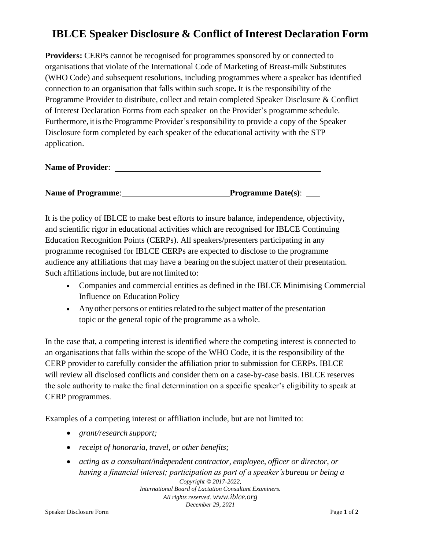## **IBLCE Speaker Disclosure & Conflict of Interest Declaration Form**

**Providers:** CERPs cannot be recognised for programmes sponsored by or connected to organisations that violate of the International Code of Marketing of Breast-milk Substitutes (WHO Code) and subsequent resolutions, including programmes where a speaker has identified connection to an organisation that falls within such scope**.** It is the responsibility of the Programme Provider to distribute, collect and retain completed Speaker Disclosure & Conflict of Interest Declaration Forms from each speaker on the Provider's programme schedule. Furthermore, it is the Programme Provider's responsibility to provide a copy of the Speaker Disclosure form completed by each speaker of the educational activity with the STP application.

**Name of Provider**:

| <b>Name of Programme:</b> | <b>Programme Date(s):</b> |
|---------------------------|---------------------------|
|                           |                           |

It is the policy of IBLCE to make best efforts to insure balance, independence, objectivity, and scientific rigor in educational activities which are recognised for IBLCE Continuing Education Recognition Points (CERPs). All speakers/presenters participating in any programme recognised for IBLCE CERPs are expected to disclose to the programme audience any affiliations that may have a bearing on the subject matter of their presentation. Such affiliations include, but are not limited to:

- Companies and commercial entities as defined in the IBLCE Minimising Commercial Influence on Education Policy
- Any other persons or entities related to the subject matter of the presentation topic or the general topic of the programme as a whole.

In the case that, a competing interest is identified where the competing interest is connected to an organisations that falls within the scope of the WHO Code, it is the responsibility of the CERP provider to carefully consider the affiliation prior to submission for CERPs. IBLCE will review all disclosed conflicts and consider them on a case-by-case basis. IBLCE reserves the sole authority to make the final determination on a specific speaker's eligibility to speak at CERP programmes.

Examples of a competing interest or affiliation include, but are not limited to:

- *grant/research support;*
- *receipt of honoraria, travel, or other benefits;*
- *Copyright © 2017-2022, International Board of Lactation Consultant Examiners. All rights reserved. www.iblce.org December 29, 2021* • *acting as a consultant/independent contractor, employee, officer or director, or having a financial interest; participation as part of a speaker'sbureau or being a*